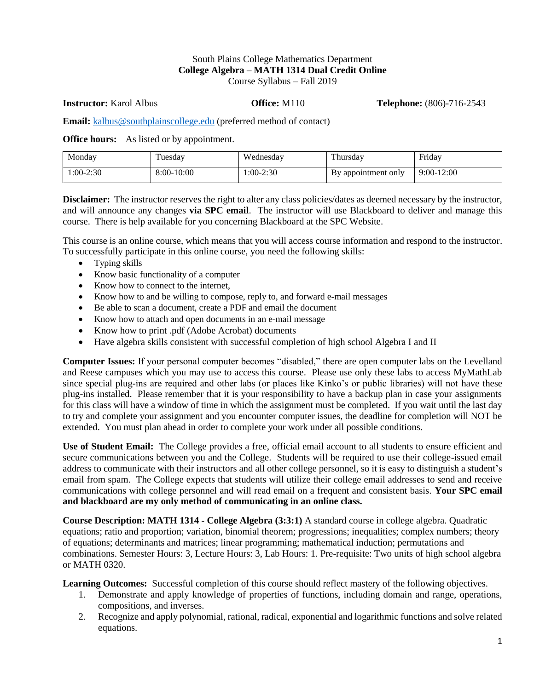#### South Plains College Mathematics Department **College Algebra – MATH 1314 Dual Credit Online** Course Syllabus – Fall 2019

**Instructor:** Karol Albus **Office:** M110 **Telephone:** (806)-716-2543

**Email:** [kalbus@southplainscollege.edu](mailto:kalbus@southplainscollege.edu) (preferred method of contact)

**Office hours:** As listed or by appointment.

| Monday      | uesday     | Wednesdav   | T1<br>ı hursdav     | Friday       |
|-------------|------------|-------------|---------------------|--------------|
| $1:00-2:30$ | 8:00-10:00 | $1:00-2:30$ | By appointment only | $9:00-12:00$ |

**Disclaimer:** The instructor reserves the right to alter any class policies/dates as deemed necessary by the instructor, and will announce any changes **via SPC email**. The instructor will use Blackboard to deliver and manage this course. There is help available for you concerning Blackboard at the SPC Website.

This course is an online course, which means that you will access course information and respond to the instructor. To successfully participate in this online course, you need the following skills:

- Typing skills
- Know basic functionality of a computer
- Know how to connect to the internet,
- Know how to and be willing to compose, reply to, and forward e-mail messages
- Be able to scan a document, create a PDF and email the document
- Know how to attach and open documents in an e-mail message
- Know how to print .pdf (Adobe Acrobat) documents
- Have algebra skills consistent with successful completion of high school Algebra I and II

**Computer Issues:** If your personal computer becomes "disabled," there are open computer labs on the Levelland and Reese campuses which you may use to access this course. Please use only these labs to access MyMathLab since special plug-ins are required and other labs (or places like Kinko's or public libraries) will not have these plug-ins installed. Please remember that it is your responsibility to have a backup plan in case your assignments for this class will have a window of time in which the assignment must be completed. If you wait until the last day to try and complete your assignment and you encounter computer issues, the deadline for completion will NOT be extended. You must plan ahead in order to complete your work under all possible conditions.

**Use of Student Email:** The College provides a free, official email account to all students to ensure efficient and secure communications between you and the College. Students will be required to use their college-issued email address to communicate with their instructors and all other college personnel, so it is easy to distinguish a student's email from spam. The College expects that students will utilize their college email addresses to send and receive communications with college personnel and will read email on a frequent and consistent basis. **Your SPC email and blackboard are my only method of communicating in an online class.** 

**Course Description: MATH 1314 - College Algebra (3:3:1)** A standard course in college algebra. Quadratic equations; ratio and proportion; variation, binomial theorem; progressions; inequalities; complex numbers; theory of equations; determinants and matrices; linear programming; mathematical induction; permutations and combinations. Semester Hours: 3, Lecture Hours: 3, Lab Hours: 1. Pre-requisite: Two units of high school algebra or MATH 0320.

**Learning Outcomes:** Successful completion of this course should reflect mastery of the following objectives.

- 1. Demonstrate and apply knowledge of properties of functions, including domain and range, operations, compositions, and inverses.
- 2. Recognize and apply polynomial, rational, radical, exponential and logarithmic functions and solve related equations.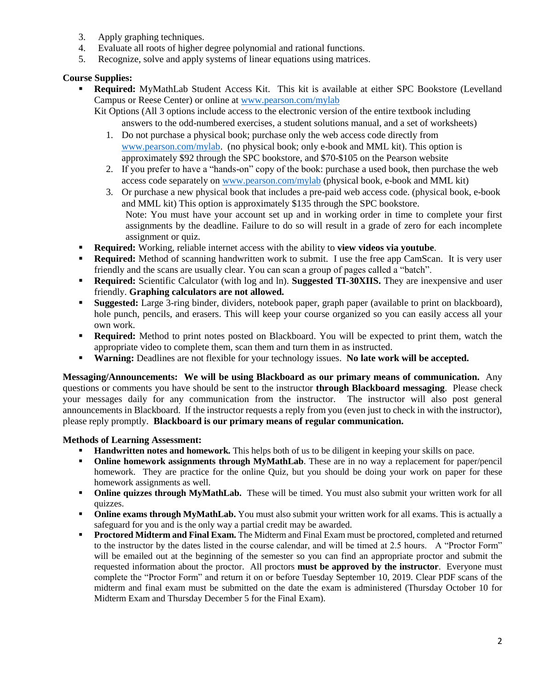- 3. Apply graphing techniques.
- 4. Evaluate all roots of higher degree polynomial and rational functions.
- 5. Recognize, solve and apply systems of linear equations using matrices.

## **Course Supplies:**

- **Required:** MyMathLab Student Access Kit. This kit is available at either SPC Bookstore (Levelland Campus or Reese Center) or online at [www.pearson.com/mylab](http://www.pearson.com/mylab)
	- Kit Options (All 3 options include access to the electronic version of the entire textbook including answers to the odd-numbered exercises, a student solutions manual, and a set of worksheets)
		- 1. Do not purchase a physical book; purchase only the web access code directly from [www.pearson.com/mylab.](http://www.pearson.com/mylab) (no physical book; only e-book and MML kit). This option is approximately \$92 through the SPC bookstore, and \$70-\$105 on the Pearson website
		- 2. If you prefer to have a "hands-on" copy of the book: purchase a used book, then purchase the web access code separately on [www.pearson.com/mylab](http://www.pearson.com/mylab) (physical book, e-book and MML kit)
		- 3. Or purchase a new physical book that includes a pre-paid web access code. (physical book, e-book and MML kit) This option is approximately \$135 through the SPC bookstore. Note: You must have your account set up and in working order in time to complete your first assignments by the deadline. Failure to do so will result in a grade of zero for each incomplete assignment or quiz.
- **Required:** Working, reliable internet access with the ability to **view videos via youtube**.
- **Required:** Method of scanning handwritten work to submit. I use the free app CamScan. It is very user friendly and the scans are usually clear. You can scan a group of pages called a "batch".
- **Required:** Scientific Calculator (with log and ln). **Suggested TI-30XIIS.** They are inexpensive and user friendly. **Graphing calculators are not allowed.**
- **Suggested:** Large 3-ring binder, dividers, notebook paper, graph paper (available to print on blackboard), hole punch, pencils, and erasers. This will keep your course organized so you can easily access all your own work.
- **Required:** Method to print notes posted on Blackboard. You will be expected to print them, watch the appropriate video to complete them, scan them and turn them in as instructed.
- **Warning:** Deadlines are not flexible for your technology issues. **No late work will be accepted.**

**Messaging/Announcements: We will be using Blackboard as our primary means of communication.** Any questions or comments you have should be sent to the instructor **through Blackboard messaging**. Please check your messages daily for any communication from the instructor. The instructor will also post general announcements in Blackboard. If the instructor requests a reply from you (even just to check in with the instructor), please reply promptly. **Blackboard is our primary means of regular communication.** 

#### **Methods of Learning Assessment:**

- **Handwritten notes and homework.** This helps both of us to be diligent in keeping your skills on pace.
- **Online homework assignments through MyMathLab**. These are in no way a replacement for paper/pencil homework. They are practice for the online Quiz, but you should be doing your work on paper for these homework assignments as well.
- **Online quizzes through MyMathLab.** These will be timed. You must also submit your written work for all quizzes.
- **Online exams through MyMathLab.** You must also submit your written work for all exams. This is actually a safeguard for you and is the only way a partial credit may be awarded.
- **Proctored Midterm and Final Exam.** The Midterm and Final Exam must be proctored, completed and returned to the instructor by the dates listed in the course calendar, and will be timed at 2.5 hours. A "Proctor Form" will be emailed out at the beginning of the semester so you can find an appropriate proctor and submit the requested information about the proctor. All proctors **must be approved by the instructor**. Everyone must complete the "Proctor Form" and return it on or before Tuesday September 10, 2019. Clear PDF scans of the midterm and final exam must be submitted on the date the exam is administered (Thursday October 10 for Midterm Exam and Thursday December 5 for the Final Exam).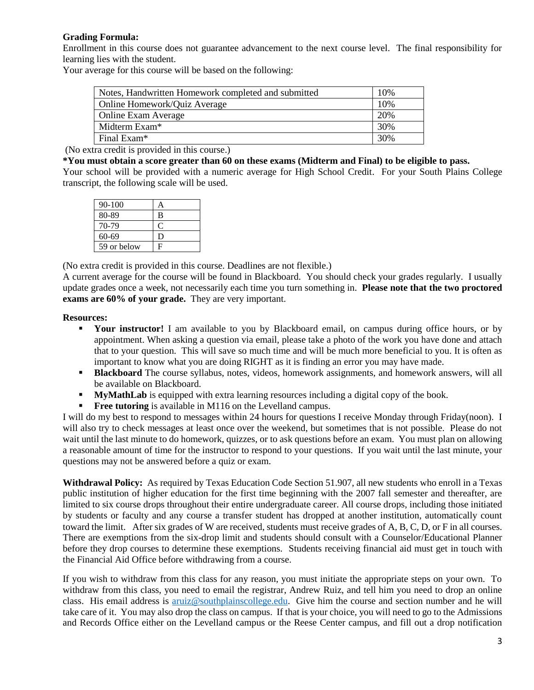## **Grading Formula:**

Enrollment in this course does not guarantee advancement to the next course level. The final responsibility for learning lies with the student.

Your average for this course will be based on the following:

| Notes, Handwritten Homework completed and submitted | 10% |
|-----------------------------------------------------|-----|
| <b>Online Homework/Quiz Average</b>                 | 10% |
| <b>Online Exam Average</b>                          | 20% |
| Midterm Exam*                                       | 30% |
| Final Exam <sup>*</sup>                             | 30% |

(No extra credit is provided in this course.)

#### **\*You must obtain a score greater than 60 on these exams (Midterm and Final) to be eligible to pass.**

Your school will be provided with a numeric average for High School Credit. For your South Plains College transcript, the following scale will be used.

| $90 - 100$  |   |
|-------------|---|
| 80-89       | B |
| 70-79       | € |
| 60-69       | Ð |
| 59 or below | F |

(No extra credit is provided in this course. Deadlines are not flexible.)

A current average for the course will be found in Blackboard. You should check your grades regularly. I usually update grades once a week, not necessarily each time you turn something in. **Please note that the two proctored exams are 60% of your grade.** They are very important.

#### **Resources:**

- **EXECUTE:** Your instructor! I am available to you by Blackboard email, on campus during office hours, or by appointment. When asking a question via email, please take a photo of the work you have done and attach that to your question. This will save so much time and will be much more beneficial to you. It is often as important to know what you are doing RIGHT as it is finding an error you may have made.
- **Blackboard** The course syllabus, notes, videos, homework assignments, and homework answers, will all be available on Blackboard.
- **MyMathLab** is equipped with extra learning resources including a digital copy of the book.
- **Free tutoring** is available in M116 on the Levelland campus.

I will do my best to respond to messages within 24 hours for questions I receive Monday through Friday(noon). I will also try to check messages at least once over the weekend, but sometimes that is not possible. Please do not wait until the last minute to do homework, quizzes, or to ask questions before an exam. You must plan on allowing a reasonable amount of time for the instructor to respond to your questions. If you wait until the last minute, your questions may not be answered before a quiz or exam.

**Withdrawal Policy:** As required by Texas Education Code Section 51.907, all new students who enroll in a Texas public institution of higher education for the first time beginning with the 2007 fall semester and thereafter, are limited to six course drops throughout their entire undergraduate career. All course drops, including those initiated by students or faculty and any course a transfer student has dropped at another institution, automatically count toward the limit. After six grades of W are received, students must receive grades of A, B, C, D, or F in all courses. There are exemptions from the six-drop limit and students should consult with a Counselor/Educational Planner before they drop courses to determine these exemptions. Students receiving financial aid must get in touch with the Financial Aid Office before withdrawing from a course.

If you wish to withdraw from this class for any reason, you must initiate the appropriate steps on your own. To withdraw from this class, you need to email the registrar, Andrew Ruiz, and tell him you need to drop an online class. His email address is [aruiz@southplainscollege.edu.](mailto:aruiz@southplainscollege.edu) Give him the course and section number and he will take care of it. You may also drop the class on campus. If that is your choice, you will need to go to the Admissions and Records Office either on the Levelland campus or the Reese Center campus, and fill out a drop notification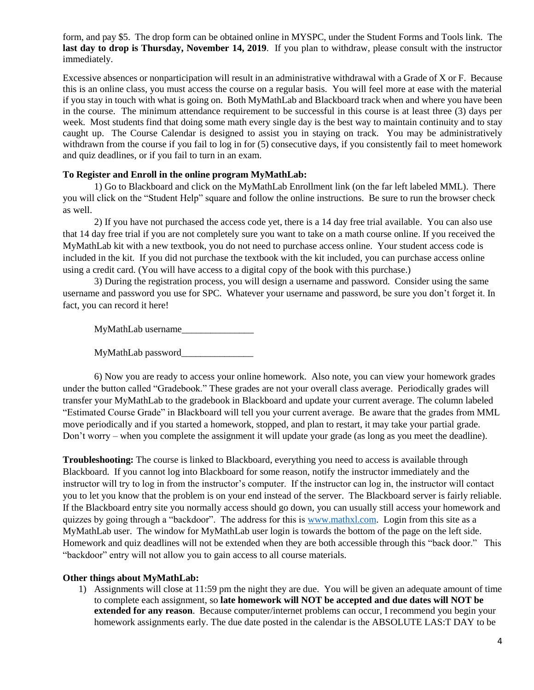form, and pay \$5. The drop form can be obtained online in MYSPC, under the Student Forms and Tools link. The **last day to drop is Thursday, November 14, 2019**. If you plan to withdraw, please consult with the instructor immediately.

Excessive absences or nonparticipation will result in an administrative withdrawal with a Grade of X or F. Because this is an online class, you must access the course on a regular basis. You will feel more at ease with the material if you stay in touch with what is going on. Both MyMathLab and Blackboard track when and where you have been in the course. The minimum attendance requirement to be successful in this course is at least three (3) days per week. Most students find that doing some math every single day is the best way to maintain continuity and to stay caught up. The Course Calendar is designed to assist you in staying on track. You may be administratively withdrawn from the course if you fail to log in for (5) consecutive days, if you consistently fail to meet homework and quiz deadlines, or if you fail to turn in an exam.

#### **To Register and Enroll in the online program MyMathLab:**

1) Go to Blackboard and click on the MyMathLab Enrollment link (on the far left labeled MML). There you will click on the "Student Help" square and follow the online instructions. Be sure to run the browser check as well.

2) If you have not purchased the access code yet, there is a 14 day free trial available. You can also use that 14 day free trial if you are not completely sure you want to take on a math course online. If you received the MyMathLab kit with a new textbook, you do not need to purchase access online. Your student access code is included in the kit. If you did not purchase the textbook with the kit included, you can purchase access online using a credit card. (You will have access to a digital copy of the book with this purchase.)

3) During the registration process, you will design a username and password. Consider using the same username and password you use for SPC. Whatever your username and password, be sure you don't forget it. In fact, you can record it here!

MyMathLab username\_\_\_\_\_\_\_\_\_\_\_\_\_\_\_

MyMathLab password\_\_\_\_\_\_\_\_\_\_\_\_\_\_\_

6) Now you are ready to access your online homework. Also note, you can view your homework grades under the button called "Gradebook." These grades are not your overall class average. Periodically grades will transfer your MyMathLab to the gradebook in Blackboard and update your current average. The column labeled "Estimated Course Grade" in Blackboard will tell you your current average. Be aware that the grades from MML move periodically and if you started a homework, stopped, and plan to restart, it may take your partial grade. Don't worry – when you complete the assignment it will update your grade (as long as you meet the deadline).

**Troubleshooting:** The course is linked to Blackboard, everything you need to access is available through Blackboard. If you cannot log into Blackboard for some reason, notify the instructor immediately and the instructor will try to log in from the instructor's computer. If the instructor can log in, the instructor will contact you to let you know that the problem is on your end instead of the server. The Blackboard server is fairly reliable. If the Blackboard entry site you normally access should go down, you can usually still access your homework and quizzes by going through a "backdoor". The address for this i[s www.mathxl.com.](http://www.mathxl.com/) Login from this site as a MyMathLab user. The window for MyMathLab user login is towards the bottom of the page on the left side. Homework and quiz deadlines will not be extended when they are both accessible through this "back door." This "backdoor" entry will not allow you to gain access to all course materials.

#### **Other things about MyMathLab:**

1) Assignments will close at 11:59 pm the night they are due. You will be given an adequate amount of time to complete each assignment, so **late homework will NOT be accepted and due dates will NOT be extended for any reason**. Because computer/internet problems can occur, I recommend you begin your homework assignments early. The due date posted in the calendar is the ABSOLUTE LAS:T DAY to be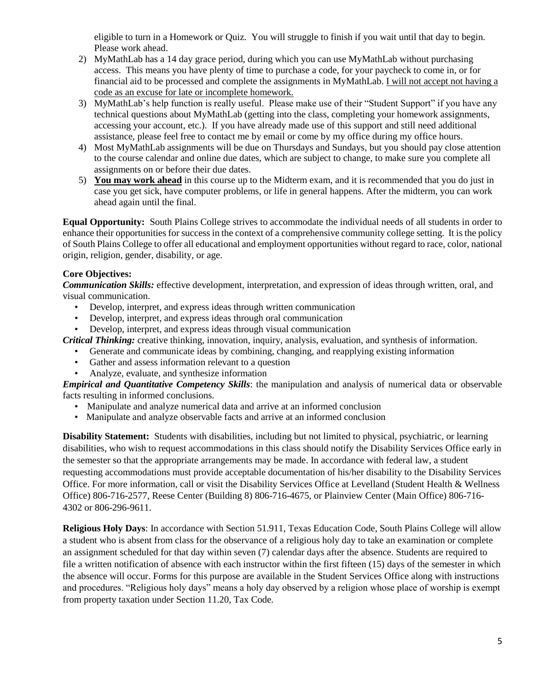eligible to turn in a Homework or Quiz. You will struggle to finish if you wait until that day to begin. Please work ahead.

- 2) MyMathLab has a 14 day grace period, during which you can use MyMathLab without purchasing access. This means you have plenty of time to purchase a code, for your paycheck to come in, or for financial aid to be processed and complete the assignments in MyMathLab. I will not accept not having a code as an excuse for late or incomplete homework.
- 3) MyMathLab's help function is really useful. Please make use of their "Student Support" if you have any technical questions about MyMathLab (getting into the class, completing your homework assignments, accessing your account, etc.). If you have already made use of this support and still need additional assistance, please feel free to contact me by email or come by my office during my office hours.
- 4) Most MyMathLab assignments will be due on Thursdays and Sundays, but you should pay close attention to the course calendar and online due dates, which are subject to change, to make sure you complete all assignments on or before their due dates.
- 5) **You may work ahead** in this course up to the Midterm exam, and it is recommended that you do just in case you get sick, have computer problems, or life in general happens. After the midterm, you can work ahead again until the final.

**Equal Opportunity:** South Plains College strives to accommodate the individual needs of all students in order to enhance their opportunities for success in the context of a comprehensive community college setting. It is the policy of South Plains College to offer all educational and employment opportunities without regard to race, color, national origin, religion, gender, disability, or age.

# **Core Objectives:**

*Communication Skills:* effective development, interpretation, and expression of ideas through written, oral, and visual communication.

- Develop, interpret, and express ideas through written communication
- Develop, interpret, and express ideas through oral communication
- Develop, interpret, and express ideas through visual communication

*Critical Thinking:* creative thinking, innovation, inquiry, analysis, evaluation, and synthesis of information.

- Generate and communicate ideas by combining, changing, and reapplying existing information
- Gather and assess information relevant to a question
- Analyze, evaluate, and synthesize information

*Empirical and Quantitative Competency Skills*: the manipulation and analysis of numerical data or observable facts resulting in informed conclusions.

- Manipulate and analyze numerical data and arrive at an informed conclusion
- Manipulate and analyze observable facts and arrive at an informed conclusion

**Disability Statement:** Students with disabilities, including but not limited to physical, psychiatric, or learning disabilities, who wish to request accommodations in this class should notify the Disability Services Office early in the semester so that the appropriate arrangements may be made. In accordance with federal law, a student requesting accommodations must provide acceptable documentation of his/her disability to the Disability Services Office. For more information, call or visit the Disability Services Office at Levelland (Student Health & Wellness Office) 806-716-2577, Reese Center (Building 8) 806-716-4675, or Plainview Center (Main Office) 806-716- 4302 or 806-296-9611.

**Religious Holy Days**: In accordance with Section 51.911, Texas Education Code, South Plains College will allow a student who is absent from class for the observance of a religious holy day to take an examination or complete an assignment scheduled for that day within seven (7) calendar days after the absence. Students are required to file a written notification of absence with each instructor within the first fifteen (15) days of the semester in which the absence will occur. Forms for this purpose are available in the Student Services Office along with instructions and procedures. "Religious holy days" means a holy day observed by a religion whose place of worship is exempt from property taxation under Section 11.20, Tax Code.